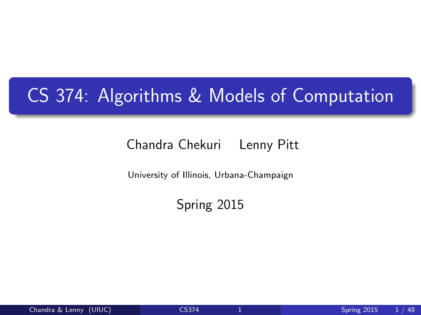## CS 374: Algorithms & Models of Computation

#### Chandra Chekuri Lenny Pitt

University of Illinois, Urbana-Champaign

<span id="page-0-0"></span>Spring 2015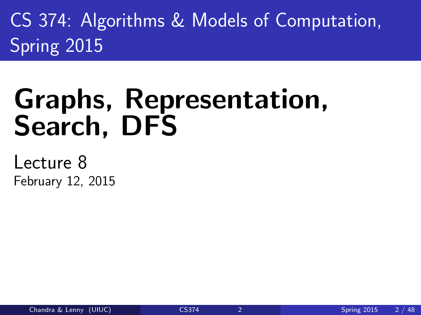CS 374: Algorithms & Models of Computation, Spring 2015

# Graphs, Representation, Search, DFS

Lecture 8 February 12, 2015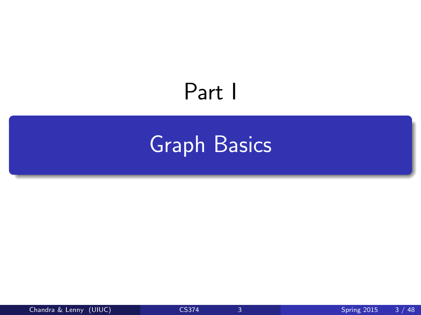# Part I

# <span id="page-2-0"></span>[Graph Basics](#page-2-0)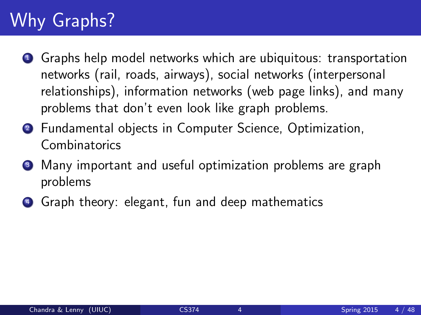## Why Graphs?

- **1** Graphs help model networks which are ubiquitous: transportation networks (rail, roads, airways), social networks (interpersonal relationships), information networks (web page links), and many problems that don't even look like graph problems.
- <sup>2</sup> Fundamental objects in Computer Science, Optimization, **Combinatorics**
- **3** Many important and useful optimization problems are graph problems
- <sup>4</sup> Graph theory: elegant, fun and deep mathematics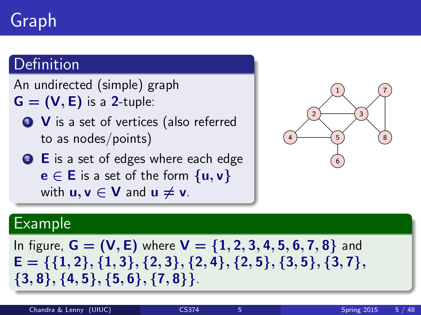# Graph

#### **Definition**

An undirected (simple) graph

- $G = (V, E)$  is a 2-tuple:
	- **1** V is a set of vertices (also referred to as nodes/points)
	- 2 E is a set of edges where each edge  $e \in E$  is a set of the form  $\{u, v\}$ with  $u, v \in V$  and  $u \neq v$ .



#### Example

In figure,  $G = (V, E)$  where  $V = \{1, 2, 3, 4, 5, 6, 7, 8\}$  and  $E = \{\{1, 2\}, \{1, 3\}, \{2, 3\}, \{2, 4\}, \{2, 5\}, \{3, 5\}, \{3, 7\},\$ {3, 8}, {4, 5}, {5, 6}, {7, 8}}.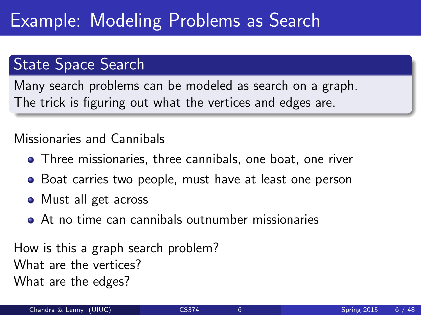### Example: Modeling Problems as Search

#### State Space Search

Many search problems can be modeled as search on a graph. The trick is figuring out what the vertices and edges are.

#### Missionaries and Cannibals

- **•** Three missionaries, three cannibals, one boat, one river
- Boat carries two people, must have at least one person
- Must all get across
- At no time can cannibals outnumber missionaries

How is this a graph search problem? What are the vertices? What are the edges?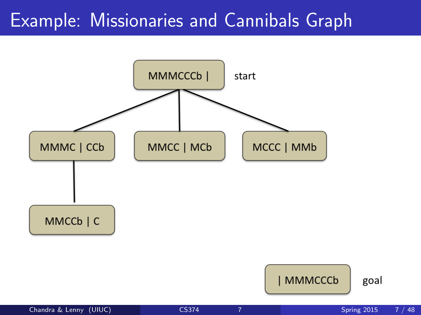### Example: Missionaries and Cannibals Graph



goal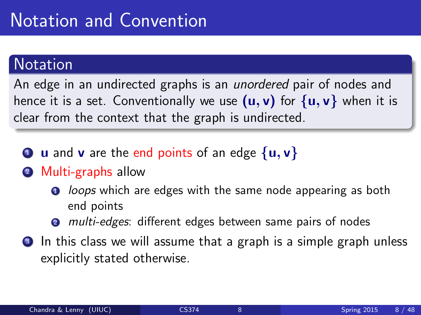## Notation and Convention

#### **Notation**

An edge in an undirected graphs is an *unordered* pair of nodes and hence it is a set. Conventionally we use  $(u, v)$  for  $\{u, v\}$  when it is clear from the context that the graph is undirected.

- **1** u and **v** are the end points of an edge  $\{u, v\}$
- 2 Multi-graphs allow
	- **1** *loops* which are edges with the same node appearing as both end points
	- **2** multi-edges: different edges between same pairs of nodes
- **3** In this class we will assume that a graph is a simple graph unless explicitly stated otherwise.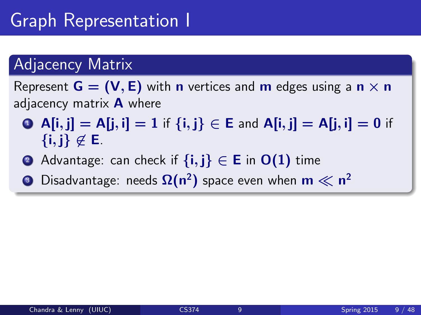## Graph Representation I

#### Adjacency Matrix

Represent  $G = (V, E)$  with **n** vertices and **m** edges using a **n**  $\times$  **n** adjacency matrix  $\bf{A}$  where

- **4** A[i, j] = A[j, i] = 1 if  $\{i, j\} \in E$  and A[i, j] = A[j, i] = 0 if  $\{i, j\} \notin E$ .
- **②** Advantage: can check if  $\{i, j\} \in \mathsf{E}$  in  $\mathsf{O}(1)$  time
- $\bullet$  Disadvantage: needs  $\Omega(\mathsf{n}^2)$  space even when  $\mathsf{m}\ll\mathsf{n}^2$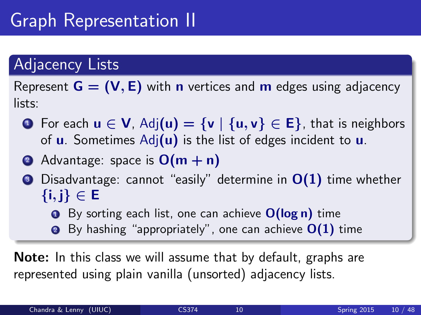## Graph Representation II

#### Adjacency Lists

Represent  $G = (V, E)$  with **n** vertices and **m** edges using adjacency lists:

- **1** For each  $u \in V$ , Adj $(u) = \{v \mid \{u, v\} \in E\}$ , that is neighbors of  $\bf{u}$ . Sometimes Adj $(\bf{u})$  is the list of edges incident to  $\bf{u}$ .
- 2 Advantage: space is  $O(m + n)$
- $\odot$  Disadvantage: cannot "easily" determine in  $O(1)$  time whether  $\{i,j\} \in \mathsf{E}$ 
	- $\bullet$  By sorting each list, one can achieve  $O(\log n)$  time
	- **2** By hashing "appropriately", one can achieve  $O(1)$  time

Note: In this class we will assume that by default, graphs are represented using plain vanilla (unsorted) adjacency lists.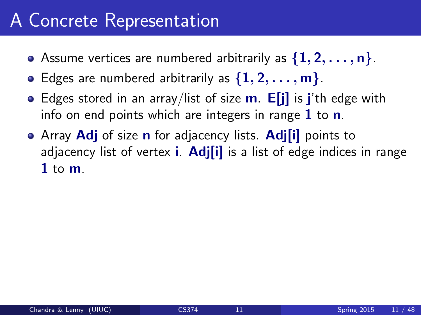#### A Concrete Representation

- Assume vertices are numbered arbitrarily as  $\{1, 2, \ldots, n\}$ .
- Edges are numbered arbitrarily as  $\{1, 2, \ldots, m\}$ .
- Edges stored in an array/list of size  $\mathbf{m}$ . E[i] is j'th edge with info on end points which are integers in range  $1$  to  $n$ .
- Array Adj of size n for adjacency lists. Adj[i] points to adjacency list of vertex **i. Adj[i]** is a list of edge indices in range 1 to  $m$ .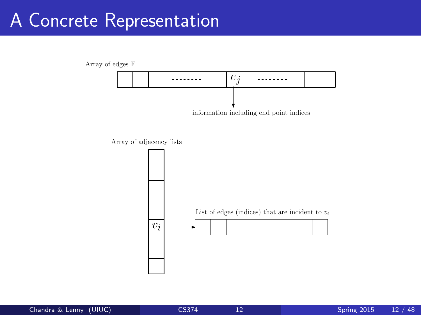### A Concrete Representation



Array of adjacency lists

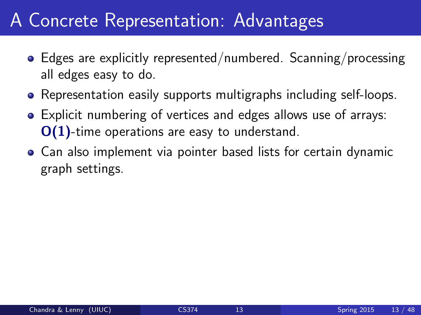#### A Concrete Representation: Advantages

- Edges are explicitly represented/numbered. Scanning/processing all edges easy to do.
- Representation easily supports multigraphs including self-loops.
- Explicit numbering of vertices and edges allows use of arrays: O(1)-time operations are easy to understand.
- Can also implement via pointer based lists for certain dynamic graph settings.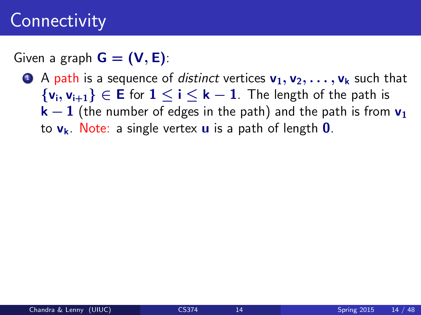Given a graph  $G = (V, E)$ :

**1** A path is a sequence of *distinct* vertices  $v_1, v_2, \ldots, v_k$  such that  $\{v_i, v_{i+1}\}\in E$  for  $1 \le i \le k-1$ . The length of the path is  $k-1$  (the number of edges in the path) and the path is from  $v_1$ to  $v_k$ . Note: a single vertex **u** is a path of length **0**.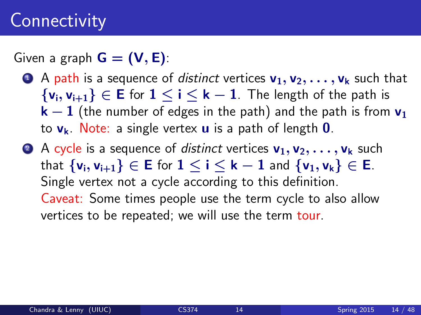Given a graph  $G = (V, E)$ :

- **4** A path is a sequence of *distinct* vertices  $v_1, v_2, \ldots, v_k$  such that  $\{v_i, v_{i+1}\}\in E$  for  $1 \le i \le k-1$ . The length of the path is  $k-1$  (the number of edges in the path) and the path is from  $v_1$ to  $v_k$ . Note: a single vertex **u** is a path of length **0**.
- **2** A cycle is a sequence of *distinct* vertices  $v_1, v_2, \ldots, v_k$  such that  $\{v_i, v_{i+1}\}\in E$  for  $1 \le i \le k-1$  and  $\{v_1, v_k\}\in E$ . Single vertex not a cycle according to this definition. Caveat: Some times people use the term cycle to also allow vertices to be repeated; we will use the term tour.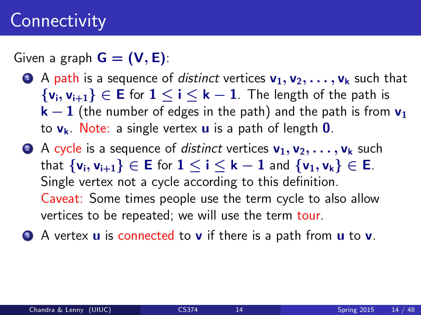Given a graph  $G = (V, E)$ :

- **4** A path is a sequence of distinct vertices  $v_1, v_2, \ldots, v_k$  such that  $\{v_i, v_{i+1}\}\in E$  for  $1 \le i \le k-1$ . The length of the path is  $k-1$  (the number of edges in the path) and the path is from  $v_1$ to  $v_k$ . Note: a single vertex **u** is a path of length **0**.
- **2** A cycle is a sequence of *distinct* vertices  $v_1, v_2, \ldots, v_k$  such that  $\{v_i, v_{i+1}\}\in E$  for  $1 \le i \le k-1$  and  $\{v_1, v_k\}\in E$ . Single vertex not a cycle according to this definition. Caveat: Some times people use the term cycle to also allow vertices to be repeated; we will use the term tour.
- **3** A vertex **u** is connected to **v** if there is a path from **u** to **v**.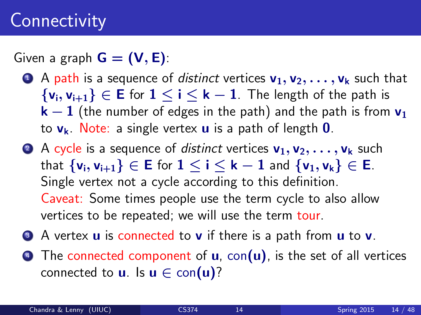Given a graph  $G = (V, E)$ :

- **4** A path is a sequence of distinct vertices  $v_1, v_2, \ldots, v_k$  such that  $\{v_i, v_{i+1}\}\in E$  for  $1 \le i \le k-1$ . The length of the path is  $k-1$  (the number of edges in the path) and the path is from  $v_1$ to  $v_k$ . Note: a single vertex **u** is a path of length **0**.
- **2** A cycle is a sequence of *distinct* vertices  $v_1, v_2, \ldots, v_k$  such that  $\{v_i, v_{i+1}\}\in E$  for  $1 \le i \le k-1$  and  $\{v_1, v_k\}\in E$ . Single vertex not a cycle according to this definition. Caveat: Some times people use the term cycle to also allow vertices to be repeated; we will use the term tour.
- **3** A vertex **u** is connected to **v** if there is a path from **u** to **v**.
- $\bullet$  The connected component of **u**, con(**u**), is the set of all vertices connected to **u**. Is  $\mathbf{u} \in \text{con}(\mathbf{u})$ ?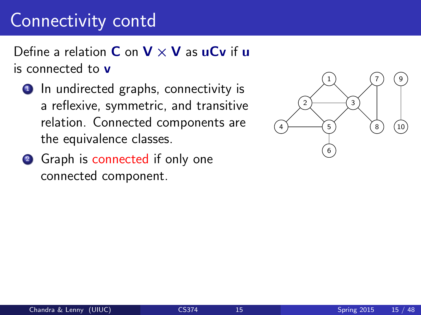### Connectivity contd

Define a relation **C** on  $V \times V$  as uCv if u is connected to v

- **1** In undirected graphs, connectivity is a reflexive, symmetric, and transitive relation. Connected components are the equivalence classes.
- <sup>2</sup> Graph is connected if only one connected component.

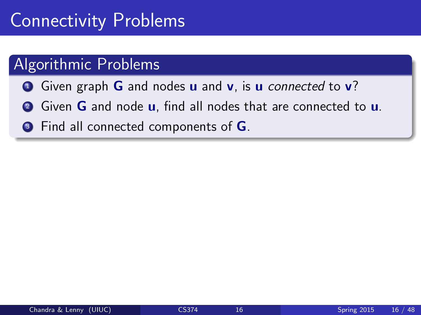### Connectivity Problems

#### Algorithmic Problems

- **1** Given graph **G** and nodes **u** and **v**, is **u** connected to **v**?
- **2** Given **G** and node **u**, find all nodes that are connected to **u**.
- **3** Find all connected components of **G**.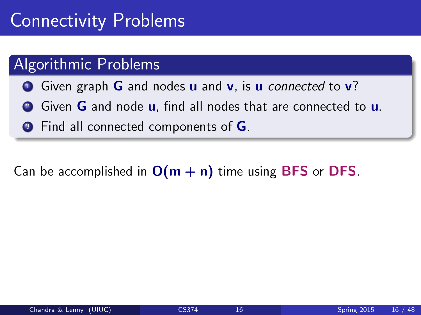### Connectivity Problems

#### Algorithmic Problems

- **1** Given graph **G** and nodes **u** and **v**, is **u** connected to **v**?
- **2** Given **G** and node **u**, find all nodes that are connected to **u**.
- **3** Find all connected components of **G**.

Can be accomplished in  $O(m + n)$  time using BFS or DFS.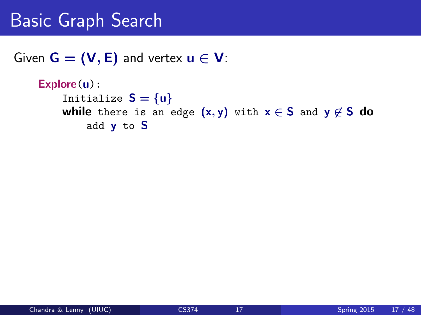#### Basic Graph Search

Given  $G = (V, E)$  and vertex  $u \in V$ :

```
Explore(u):
    Initialize S = \{u\}while there is an edge (x, y) with x \in S and y \not\in S do
         add y to S
```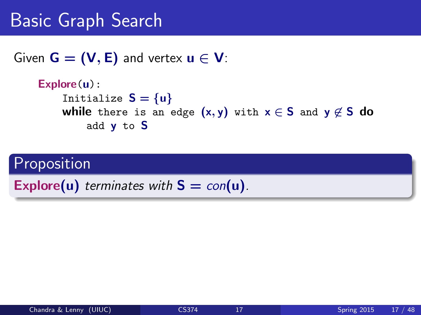#### Basic Graph Search

Given  $G = (V, E)$  and vertex  $u \in V$ :

```
Explore(u):
    Initialize S = \{u\}while there is an edge (x, y) with x \in S and y \not\in S do
         add y to S
```
#### **Proposition**

Explore(u) terminates with  $S = con(u)$ .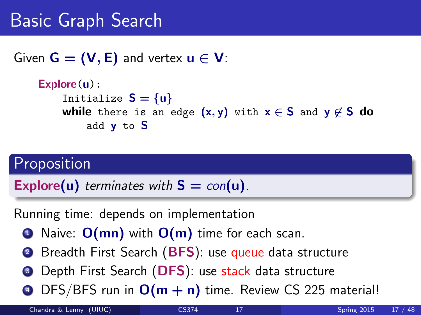### Basic Graph Search

Given  $G = (V, E)$  and vertex  $u \in V$ :

```
Explore(u):
    Initialize S = \{u\}while there is an edge (x, y) with x \in S and y \notin S do
         add y to S
```
#### Proposition

Explore(u) terminates with  $S = con(u)$ .

Running time: depends on implementation

- $\bullet$  Naive:  $O(mn)$  with  $O(m)$  time for each scan.
- <sup>2</sup> Breadth First Search (BFS): use queue data structure
- **3** Depth First Search (DFS): use stack data structure
- $\bullet$  DFS/BFS run in  $O(m + n)$  time. Review CS 225 material!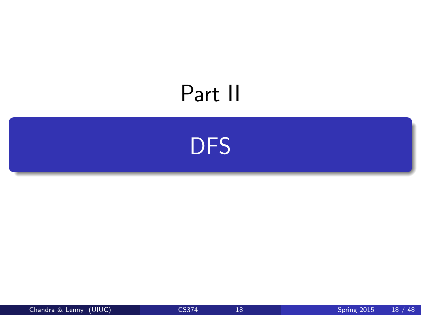# Part II

<span id="page-23-0"></span>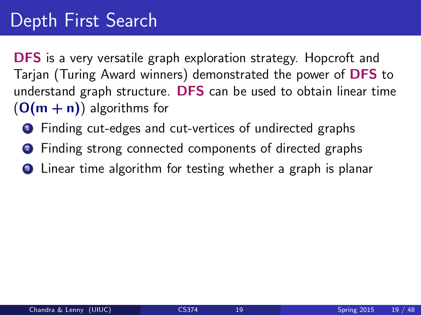### Depth First Search

DFS is a very versatile graph exploration strategy. Hopcroft and Tarjan (Turing Award winners) demonstrated the power of DFS to understand graph structure. DFS can be used to obtain linear time  $(O(m + n))$  algorithms for

- <sup>1</sup> Finding cut-edges and cut-vertices of undirected graphs
- <sup>2</sup> Finding strong connected components of directed graphs
- **3** Linear time algorithm for testing whether a graph is planar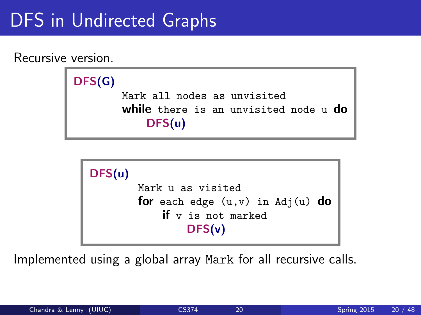### DFS in Undirected Graphs

Recursive version.



```
DFS(u)
        Mark u as visited
        for each edge (u,v) in Adj(u) do
            if v is not marked
                DFS(v)
```
Implemented using a global array Mark for all recursive calls.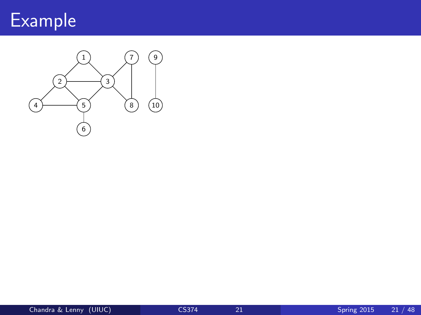

Connected Graphs

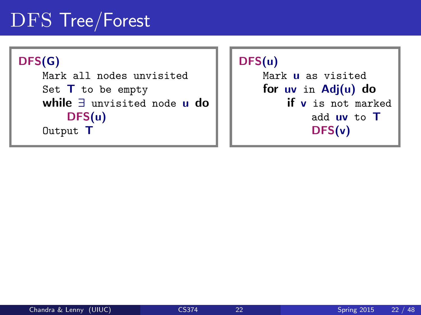### DFS Tree/Forest

#### DFS(G) Mark all nodes unvisited Set  $T$  to be empty while ∃ unvisited node u do DFS(u) Output T

#### DFS(u) Mark u as visited for uv in Adj(u) do if v is not marked add uv to T DFS(v)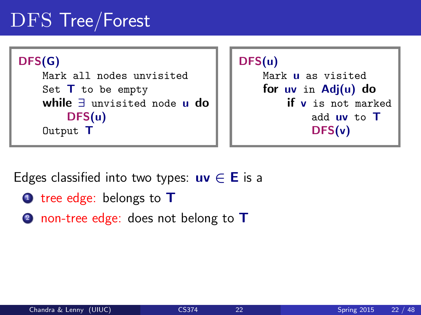## DFS Tree/Forest





Edges classified into two types:  $uv \in E$  is a

- $\bullet$  tree edge: belongs to  $\mathsf T$
- 2 non-tree edge: does not belong to T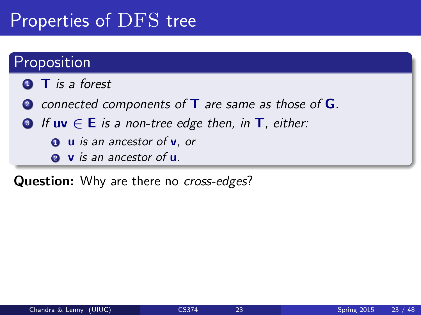### Properties of DFS tree

#### **Proposition**

- $\bullet$  T is a forest
- 2 connected components of  $T$  are same as those of  $G$ .
- **3** If  $uv \in E$  is a non-tree edge then, in  $T$ , either:
	- $\bullet$  **u** is an ancestor of **v**, or
	- **2** v is an ancestor of **u**.

Question: Why are there no cross-edges?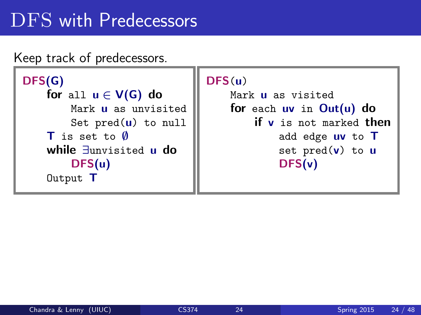### DFS with Predecessors

Keep track of predecessors.

```
DFS(G)
    for all u \in V(G) do
        Mark u as unvisited
        Set pred(u) to null
    T is set to \emptysetwhile ∃unvisited u do
        DFS(u)
    Output T
```

```
DFS(u)
```
Mark **u** as visited for each uv in Out(u) do if v is not marked then add edge uv to T set  $pred(v)$  to  $u$ DFS(v)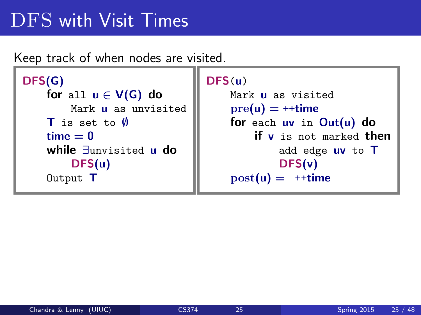### DFS with Visit Times

Keep track of when nodes are visited.

```
DFS(G)
   for all u \in V(G) do
       Mark u as unvisited
   T is set to Ø
   time = 0while ∃unvisited u do
       DFS(u)
   Output T
```

```
DFS(u)
```

```
Mark u as visited
pre(u) = ++timefor each uv in Out(u) do
   if v is not marked then
        add edge uv to T
        DFS(v)
post(u) = ++time
```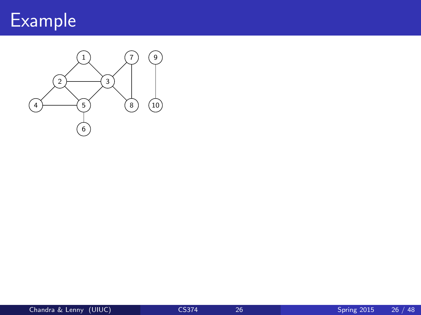

Connected Graphs

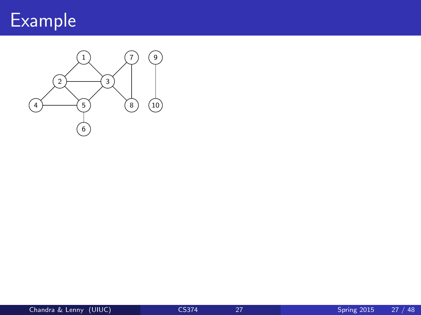

Connected Graphs

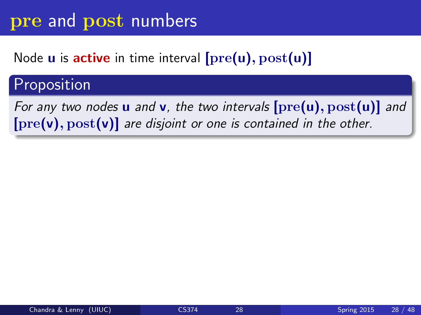#### pre and post numbers

#### Node  $u$  is active in time interval  $[pre(u), post(u)]$

#### Proposition

For any two nodes **u** and **v**, the two intervals  $[\text{pre}(u), \text{post}(u)]$  and  $[pre(v), post(v)]$  are disjoint or one is contained in the other.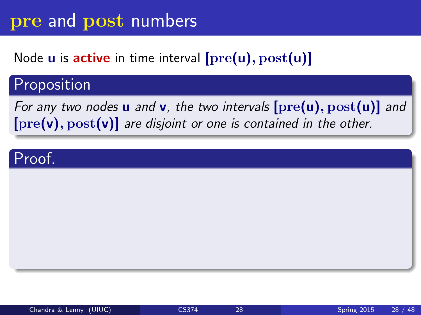#### pre and post numbers

#### Node **u** is **active** in time interval  $[\text{pre}(u), \text{post}(u)]$

#### Proposition

For any two nodes **u** and **v**, the two intervals  $[\text{pre}(u), \text{post}(u)]$  and  $[pre(v), post(v)]$  are disjoint or one is contained in the other.

#### Proof.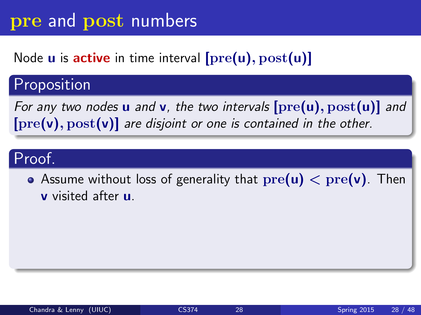### Node  $u$  is active in time interval  $[pre(u), post(u)]$

### Proposition

For any two nodes **u** and **v**, the two intervals  $[\text{pre}(u), \text{post}(u)]$  and  $[pre(v), post(v)]$  are disjoint or one is contained in the other.

### Proof.

• Assume without loss of generality that  $pre(u) < pre(v)$ . Then v visited after u.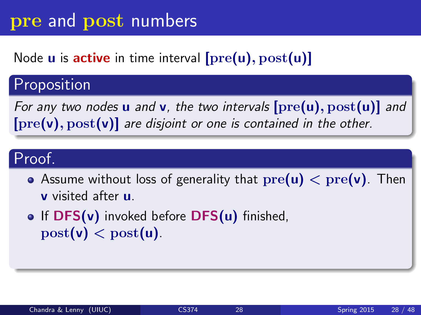### Node  $u$  is active in time interval  $[pre(u), post(u)]$

### Proposition

For any two nodes **u** and **v**, the two intervals  $[\text{pre}(u), \text{post}(u)]$  and  $[pre(v), post(v)]$  are disjoint or one is contained in the other.

### Proof.

- Assume without loss of generality that  $pre(u) < pre(v)$ . Then v visited after u.
- **•** If  $DFS(v)$  invoked before  $DFS(u)$  finished,  $post(v) < post(u)$ .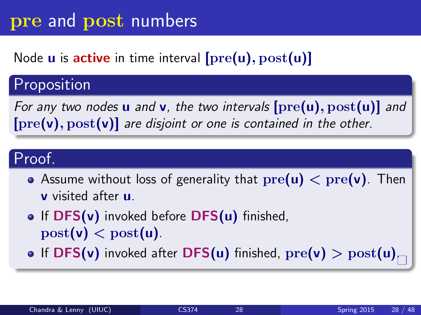### Node **u** is **active** in time interval  $[\text{pre}(u), \text{post}(u)]$

### Proposition

For any two nodes **u** and **v**, the two intervals  $[pre(u), post(u)]$  and  $[pre(v), post(v)]$  are disjoint or one is contained in the other.

### Proof.

- Assume without loss of generality that  $pre(u) < pre(v)$ . Then v visited after u.
- $\bullet$  If DFS(v) invoked before DFS(u) finished,  $post(v) < post(u)$ .
- If DFS(v) invoked after DFS(u) finished,  $pre(v) > post(u)$ .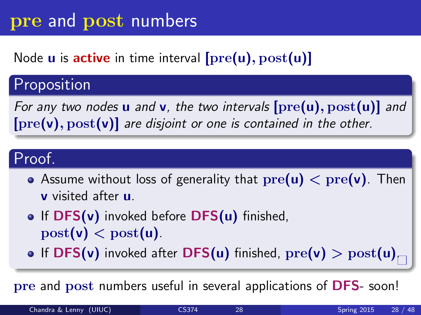### Node **u** is **active** in time interval  $[\text{pre}(u), \text{post}(u)]$

### Proposition

For any two nodes **u** and **v**, the two intervals  $[pre(u), post(u)]$  and  $[pre(v), post(v)]$  are disjoint or one is contained in the other.

### Proof.

- Assume without loss of generality that  $pre(u) < pre(v)$ . Then v visited after u.
- $\bullet$  If DFS(v) invoked before DFS(u) finished,  $post(v) < post(u)$ .
- If DFS(v) invoked after DFS(u) finished,  $\mathrm{pre}(v) > \mathrm{post}(u)_{\square}$

pre and post numbers useful in several applications of DFS- soon!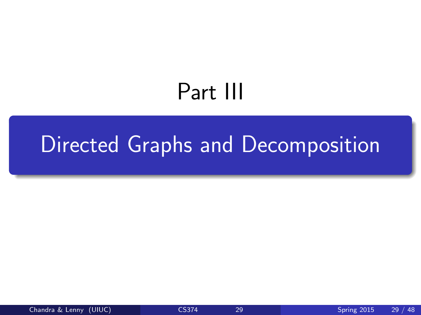# <span id="page-40-0"></span>Part III

# [Directed Graphs and Decomposition](#page-40-0)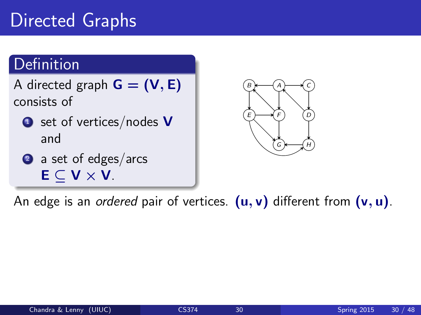# Directed Graphs

### Definition

A directed graph  $G = (V, E)$ consists of

 $\bullet$  set of vertices/nodes V and

2 a set of edges/arcs  $E \subset V \times V$ .  $\overline{\phantom{a}}$ 



An edge is an *ordered* pair of vertices.  $(\mathsf{u},\mathsf{v})$  different from  $(\mathsf{v},\mathsf{u})$ .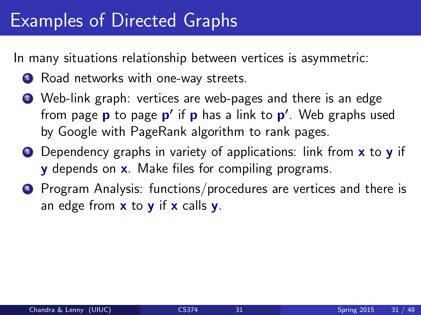### Examples of Directed Graphs

In many situations relationship between vertices is asymmetric:

- **1** Road networks with one-way streets.
- <sup>2</sup> Web-link graph: vertices are web-pages and there is an edge from page **p** to page **p'** if **p** has a link to **p'**. Web graphs used by Google with PageRank algorithm to rank pages.
- **3** Dependency graphs in variety of applications: link from **x** to **y** if **y** depends on **x**. Make files for compiling programs.
- <sup>4</sup> Program Analysis: functions/procedures are vertices and there is an edge from  $x$  to  $y$  if  $x$  calls  $y$ .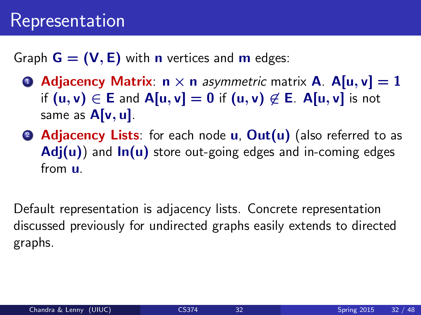Graph  $G = (V, E)$  with **n** vertices and **m** edges:

- **4** Adjacency Matrix:  $n \times n$  asymmetric matrix **A**. A[u, v] = 1 if  $(u, v) \in E$  and  $A[u, v] = 0$  if  $(u, v) \notin E$ . A[u, v] is not same as  $A[v, u]$ .
- **2 Adjacency Lists**: for each node **u**, **Out(u)** (also referred to as  $Adj(u)$  and  $In(u)$  store out-going edges and in-coming edges from u.

Default representation is adjacency lists. Concrete representation discussed previously for undirected graphs easily extends to directed graphs.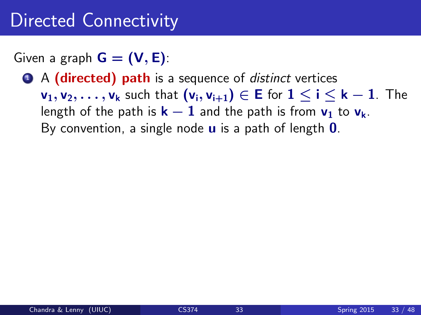Given a graph  $G = (V, E)$ :

**1** A (directed) path is a sequence of *distinct* vertices  $v_1, v_2, \ldots, v_k$  such that  $(v_i, v_{i+1}) \in E$  for  $1 \le i \le k-1$ . The length of the path is  $k - 1$  and the path is from  $v_1$  to  $v_k$ . By convention, a single node  $\bf{u}$  is a path of length  $\bf{0}$ .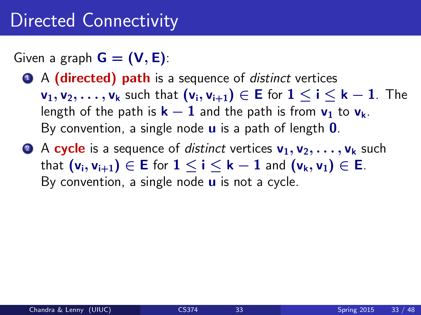Given a graph  $G = (V, E)$ :

- **1** A (directed) path is a sequence of *distinct* vertices  $v_1, v_2, \ldots, v_k$  such that  $(v_i, v_{i+1}) \in E$  for  $1 \le i \le k-1$ . The length of the path is  $k - 1$  and the path is from  $v_1$  to  $v_k$ . By convention, a single node  $\bf{u}$  is a path of length  $\bf{0}$ .
- **2** A cycle is a sequence of *distinct* vertices  $v_1, v_2, \ldots, v_k$  such that  $(v_i, v_{i+1}) \in E$  for  $1 \le i \le k-1$  and  $(v_k, v_1) \in E$ . By convention, a single node  $\boldsymbol{u}$  is not a cycle.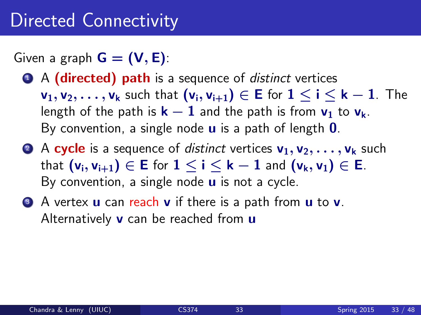Given a graph  $G = (V, E)$ :

- **1** A (directed) path is a sequence of *distinct* vertices  $v_1, v_2, \ldots, v_k$  such that  $(v_i, v_{i+1}) \in E$  for  $1 \le i \le k-1$ . The length of the path is  $k - 1$  and the path is from  $v_1$  to  $v_k$ . By convention, a single node  $\bf{u}$  is a path of length  $\bf{0}$ .
- **2** A cycle is a sequence of distinct vertices  $v_1, v_2, \ldots, v_k$  such that  $(v_i, v_{i+1}) \in E$  for  $1 \le i \le k-1$  and  $(v_k, v_1) \in E$ . By convention, a single node  $\boldsymbol{u}$  is not a cycle.
- **3** A vertex **u** can reach **v** if there is a path from **u** to **v**. Alternatively  $\bf{v}$  can be reached from  $\bf{u}$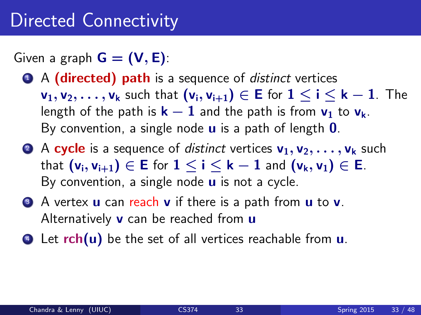Given a graph  $G = (V, E)$ :

- **1** A (directed) path is a sequence of *distinct* vertices  $v_1, v_2, \ldots, v_k$  such that  $(v_i, v_{i+1}) \in E$  for  $1 \le i \le k-1$ . The length of the path is  $k - 1$  and the path is from  $v_1$  to  $v_k$ . By convention, a single node  $\bf{u}$  is a path of length  $\bf{0}$ .
- **2** A cycle is a sequence of distinct vertices  $v_1, v_2, \ldots, v_k$  such that  $(v_i, v_{i+1}) \in E$  for  $1 \le i \le k-1$  and  $(v_k, v_1) \in E$ . By convention, a single node  $\boldsymbol{u}$  is not a cycle.
- **3** A vertex **u** can reach **v** if there is a path from **u** to **v**. Alternatively  $\bf{v}$  can be reached from  $\bf{u}$
- $\bullet$  Let rch(u) be the set of all vertices reachable from u.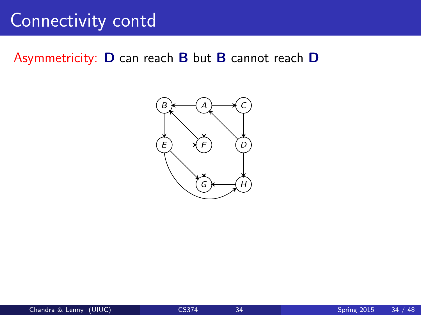# Connectivity contd

# Asymmetricity:  $D$  can reach  $B$  but  $B$  cannot reach  $D$

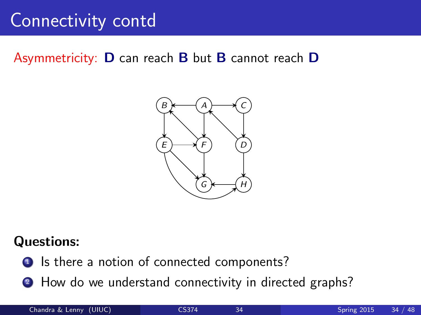# Connectivity contd

# Asymmetricity:  $D$  can reach  $B$  but  $B$  cannot reach  $D$



#### **Questions:**

- **O** Is there a notion of connected components?
	- **2** How do we understand connectivity in directed graphs?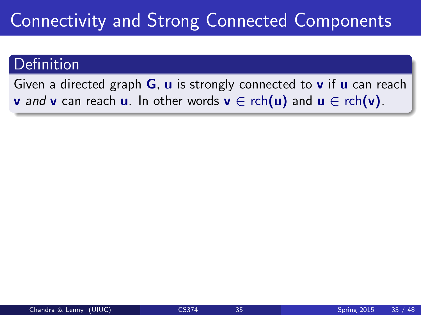#### Definition

Given a directed graph  $G$ ,  $u$  is strongly connected to  $v$  if  $u$  can reach **v** and **v** can reach **u**. In other words  $\mathbf{v} \in \text{rch}(\mathbf{u})$  and  $\mathbf{u} \in \text{rch}(\mathbf{v})$ .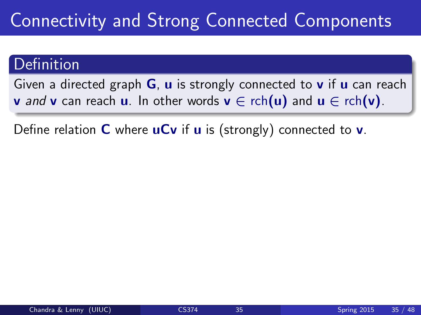#### Definition

Given a directed graph  $G$ ,  $u$  is strongly connected to  $v$  if  $u$  can reach **v** and **v** can reach **u**. In other words **v**  $\in$  rch(**u**) and **u**  $\in$  rch(**v**).

Define relation **C** where  $\mathbf{u}$ **Cv** if **u** is (strongly) connected to **v**.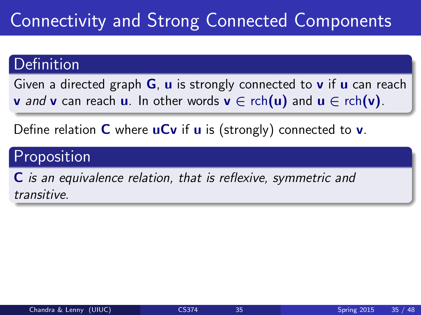#### Definition

Given a directed graph  $G$ ,  $u$  is strongly connected to  $v$  if  $u$  can reach **v** and **v** can reach **u**. In other words **v**  $\in$  rch(**u**) and **u**  $\in$  rch(**v**).

Define relation **C** where  $\mathbf{u}$ **Cv** if **u** is (strongly) connected to **v**.

### Proposition

C is an equivalence relation, that is reflexive, symmetric and transitive.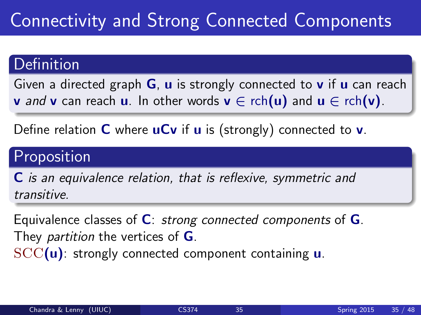### Definition

Given a directed graph  $G$ ,  $u$  is strongly connected to  $v$  if  $u$  can reach **v** and **v** can reach **u**. In other words **v**  $\in$  rch(**u**) and **u**  $\in$  rch(**v**).

Define relation **C** where  $\mathbf{u}$ **Cv** if **u** is (strongly) connected to **v**.

### Proposition

C is an equivalence relation, that is reflexive, symmetric and transitive.

Equivalence classes of  $C$ : strong connected components of  $G$ . They *partition* the vertices of **G**.  $SCC(u)$ : strongly connected component containing  $u$ .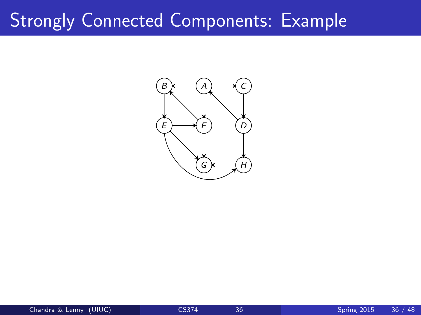#### Strongly Connected Components: Example  $C$

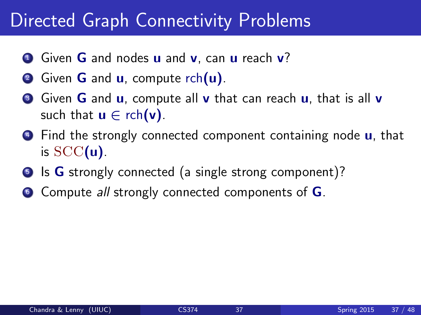### Directed Graph Connectivity Problems

- **1** Given **G** and nodes **u** and **v**, can **u** reach **v**?
- 2 Given **G** and **u**, compute rch(**u**).
- **3** Given **G** and **u**, compute all **v** that can reach **u**, that is all **v** such that  $\mathbf{u} \in \text{rch}(\mathbf{v})$ .
- **4** Find the strongly connected component containing node **u**, that is  $SCC(u)$ .
- **5** Is **G** strongly connected (a single strong component)?
- $\bullet$  Compute all strongly connected components of  $\mathsf G$ .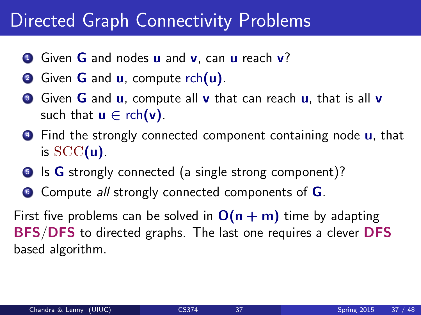### Directed Graph Connectivity Problems

- **1** Given **G** and nodes **u** and **v**, can **u** reach **v**?
- 2 Given **G** and **u**, compute rch(**u**).
- **3** Given **G** and **u**, compute all **v** that can reach **u**, that is all **v** such that  $\mathbf{u} \in \text{rch}(\mathbf{v})$ .
- **4** Find the strongly connected component containing node **u**, that is  $SCC(u)$ .
- **5** Is **G** strongly connected (a single strong component)?
- **6** Compute *all* strongly connected components of **G**.

First five problems can be solved in  $O(n + m)$  time by adapting BFS/DFS to directed graphs. The last one requires a clever DFS based algorithm.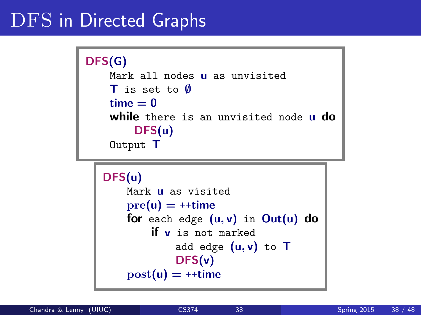# DFS in Directed Graphs

```
DFS(G)
 Mark all nodes u as unvisited
T is set to ∅
 time = 0while there is an unvisited node u do
     DFS(u)
 Output T
```

```
DFS(u)
 Mark u as visited
 pre(u) = ++timefor each edge (u, v) in Out(u) do
     if v is not marked
         add edge (u, v) to TDFS(v)
 post(u) = ++time
```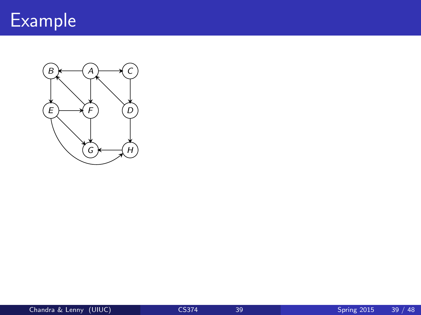

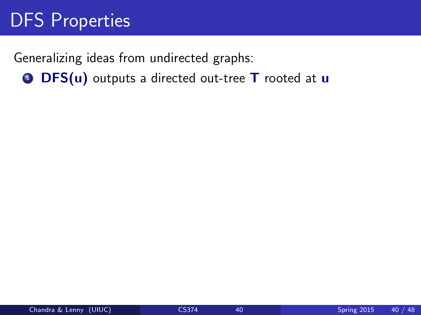Generalizing ideas from undirected graphs:  $\bullet$  DFS(u) outputs a directed out-tree T rooted at u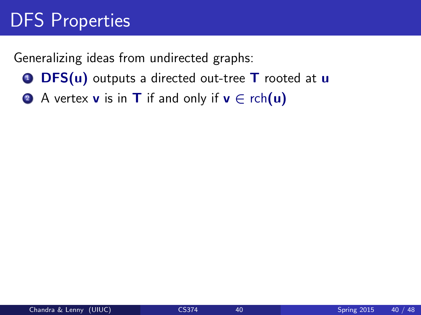- $\bullet$  DFS(u) outputs a directed out-tree T rooted at u
- 2 A vertex **v** is in **T** if and only if  $v \in \text{rch}(u)$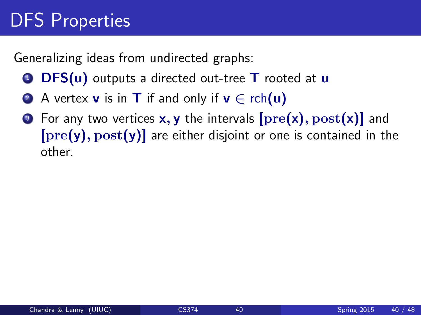- $\bullet$  DFS(u) outputs a directed out-tree  $\mathsf T$  rooted at u
- 2 A vertex **v** is in **T** if and only if  $v \in \text{rch}(u)$
- **3** For any two vertices  $x, y$  the intervals  $[pre(x), post(x)]$  and  $[pre(y), post(y)]$  are either disjoint or one is contained in the other.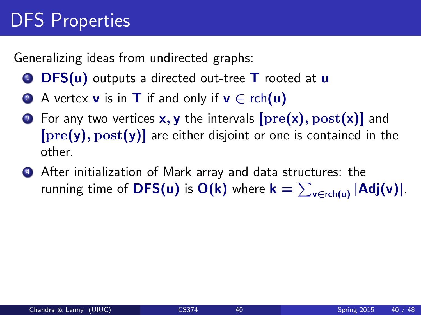- $\bullet$  DFS(u) outputs a directed out-tree  $\mathsf T$  rooted at u
- **2** A vertex **v** is in **T** if and only if  $v \in \text{rch}(u)$
- **3** For any two vertices  $x, y$  the intervals  $[pre(x), post(x)]$  and  $[pre(y), post(y)]$  are either disjoint or one is contained in the other.
- **4** After initialization of Mark array and data structures: the running time of  $\mathsf{DFS}(u)$  is  $\mathsf{O}(\mathsf{k})$  where  $\mathsf{k} = \sum_{\mathsf{v} \in \mathsf{rch}(u)} |\mathsf{Adj}(\mathsf{v})|.$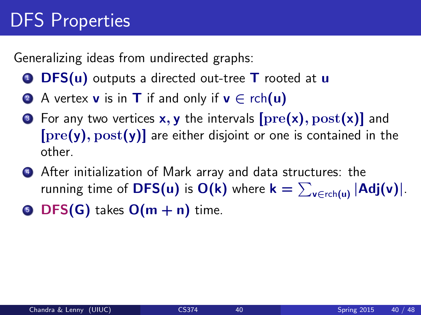- $\bullet$  DFS(u) outputs a directed out-tree  $\mathsf T$  rooted at u
- **2** A vertex **v** is in **T** if and only if  $v \in \text{rch}(u)$
- **3** For any two vertices  $x, y$  the intervals  $[pre(x), post(x)]$  and  $[pre(y), post(y)]$  are either disjoint or one is contained in the other.
- **4** After initialization of Mark array and data structures: the running time of  $\mathsf{DFS}(u)$  is  $\mathsf{O}(\mathsf{k})$  where  $\mathsf{k} = \sum_{\mathsf{v} \in \mathsf{rch}(u)} |\mathsf{Adj}(\mathsf{v})|.$
- **DFS(G)** takes  $O(m + n)$  time.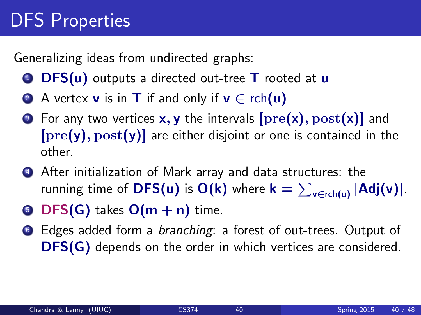- $\bullet$  DFS(u) outputs a directed out-tree T rooted at u
- 2 A vertex **v** is in **T** if and only if  $v \in \text{rch}(u)$
- **3** For any two vertices  $x, y$  the intervals  $[pre(x), post(x)]$  and  $[pre(y), post(y)]$  are either disjoint or one is contained in the other.
- <sup>4</sup> After initialization of Mark array and data structures: the running time of  $\mathsf{DFS}(u)$  is  $\mathsf{O}(\mathsf{k})$  where  $\mathsf{k} = \sum_{\mathsf{v} \in \mathsf{rch}(u)} |\mathsf{Adj}(\mathsf{v})|.$
- **5 DFS(G)** takes  $O(m + n)$  time.
- <sup>6</sup> Edges added form a branching: a forest of out-trees. Output of DFS(G) depends on the order in which vertices are considered.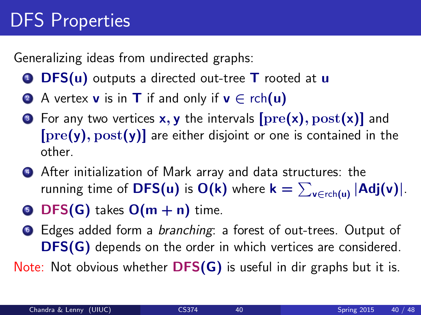Generalizing ideas from undirected graphs:

- $\bullet$  DFS(u) outputs a directed out-tree T rooted at u
- 2 A vertex **v** is in **T** if and only if  $v \in \text{rch}(u)$
- **3** For any two vertices  $x, y$  the intervals  $[pre(x), post(x)]$  and  $[pre(y), post(y)]$  are either disjoint or one is contained in the other.
- **4** After initialization of Mark array and data structures: the running time of  $\mathsf{DFS}(u)$  is  $\mathsf{O}(\mathsf{k})$  where  $\mathsf{k} = \sum_{\mathsf{v} \in \mathsf{rch}(u)} |\mathsf{Adj}(\mathsf{v})|.$
- **DFS(G)** takes  $O(m + n)$  time.
- <sup>6</sup> Edges added form a branching: a forest of out-trees. Output of DFS(G) depends on the order in which vertices are considered.

Note: Not obvious whether **DFS(G)** is useful in dir graphs but it is.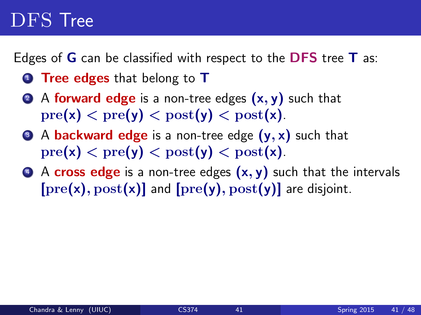## DFS Tree

Edges of  $G$  can be classified with respect to the DFS tree  $T$  as:

- **1** Tree edges that belong to T
- 2 A forward edge is a non-tree edges  $(x, y)$  such that  $pre(x) < pre(y) < post(y) < post(x)$ .
- $\bullet$  A backward edge is a non-tree edge  $(y, x)$  such that  $pre(x) < pre(y) < post(y) < post(x)$ .
- $\bullet$  A cross edge is a non-tree edges  $(x, y)$  such that the intervals  $[pref(x), post(x)]$  and  $[pref(y), post(y)]$  are disjoint.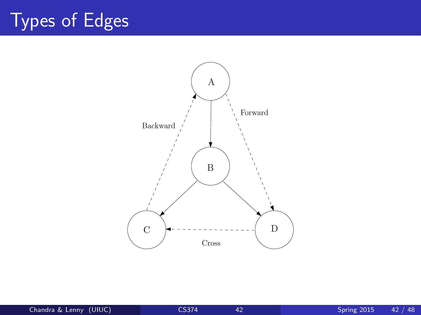# Types of Edges

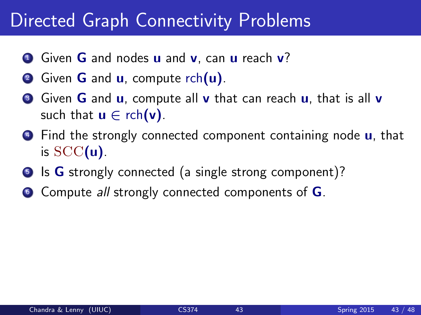### Directed Graph Connectivity Problems

- **1** Given **G** and nodes **u** and **v**, can **u** reach **v**?
- 2 Given **G** and **u**, compute rch(**u**).
- **3** Given **G** and **u**, compute all **v** that can reach **u**, that is all **v** such that  $\mathbf{u} \in \text{rch}(\mathbf{v})$ .
- **4** Find the strongly connected component containing node **u**, that is  $SCC(u)$ .
- **5** Is **G** strongly connected (a single strong component)?
- $\bullet$  Compute all strongly connected components of  $\mathsf G$ .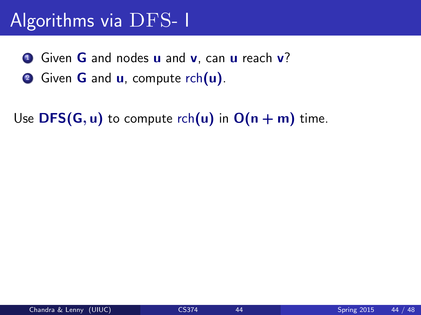# Algorithms via DFS- I

- **1** Given **G** and nodes **u** and **v**, can **u** reach **v**?
- 2 Given **G** and **u**, compute rch(**u**).

Use DFS(G, u) to compute rch(u) in  $O(n + m)$  time.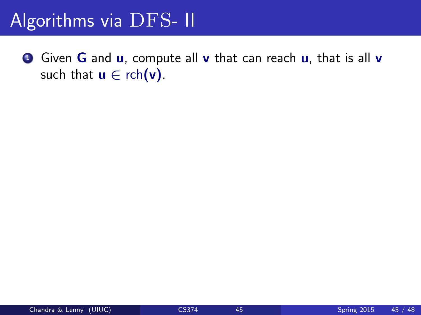## Algorithms via DFS- II

**1** Given **G** and **u**, compute all **v** that can reach **u**, that is all **v** such that  $u \in \text{rch}(v)$ .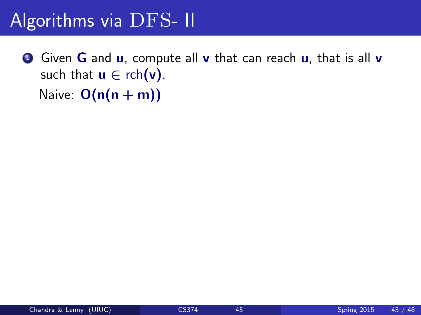# Algorithms via DFS- II

**1** Given **G** and **u**, compute all **v** that can reach **u**, that is all **v** such that  $u \in \text{rch}(v)$ . Naive:  $O(n(n + m))$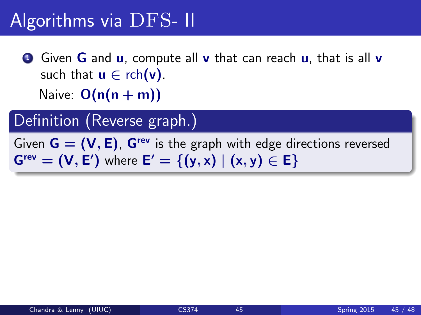**1** Given **G** and **u**, compute all **v** that can reach **u**, that is all **v** such that  $u \in \text{rch}(v)$ . Naive:  $O(n(n + m))$ 

Definition (Reverse graph.)

Given  $G = (V, E)$ ,  $G^{rev}$  is the graph with edge directions reversed  $G<sup>rev</sup> = (V, E')$  where  $E' = \{(y, x) | (x, y) \in E\}$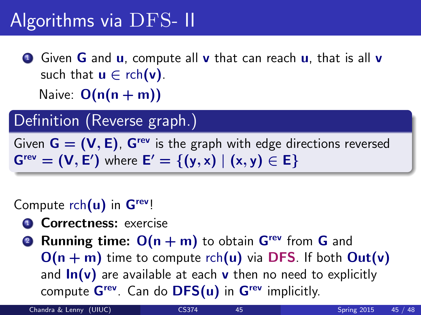**1** Given **G** and **u**, compute all **v** that can reach **u**, that is all **v** such that  $u \in \text{rch}(v)$ . Naive:  $O(n(n + m))$ 

Definition (Reverse graph.)

Given  $G = (V, E)$ .  $G^{rev}$  is the graph with edge directions reversed  $G<sup>rev</sup> = (V, E')$  where  $E' = \{(y, x) | (x, y) \in E\}$ 

Compute  $rch(u)$  in  $G<sup>rev</sup>$ !

- **1 Correctness:** exercise
- **2 Running time:**  $O(n + m)$  to obtain  $G<sup>rev</sup>$  from G and  $O(n + m)$  time to compute rch(u) via DFS. If both  $Out(v)$ and  $\ln(v)$  are available at each v then no need to explicitly compute  $G^{rev}$ . Can do  $DFS(u)$  in  $G^{rev}$  implicitly.

Chandra & Lenny (UIUC) [CS374](#page-0-0) 45 Spring 2015 45 / 48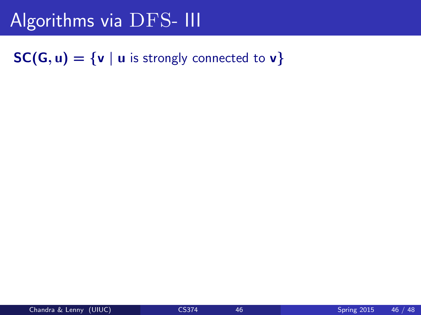#### $SC(G, u) = \{v \mid u \text{ is strongly connected to } v\}$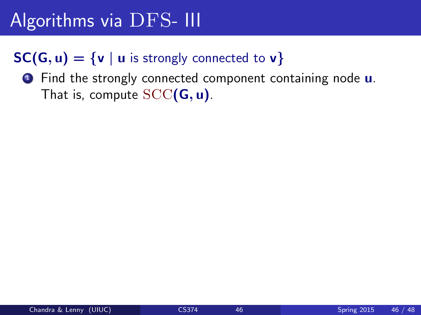#### $SC(G, u) = \{v \mid u \text{ is strongly connected to } v\}$

**1** Find the strongly connected component containing node **u**. That is, compute  $SCC(G, u)$ .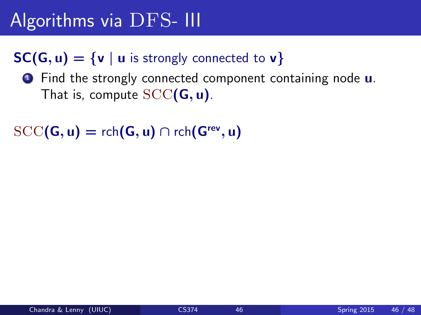#### $SC(G, u) = \{v \mid u \text{ is strongly connected to } v\}$

**1** Find the strongly connected component containing node **u**. That is, compute  $SCC(G, u)$ .

```
\mathrm{SCC}(\mathsf{G},\mathsf{u}) = \mathsf{rch}(\mathsf{G},\mathsf{u}) \cap \mathsf{rch}(\mathsf{G}^\mathsf{rev},\mathsf{u})
```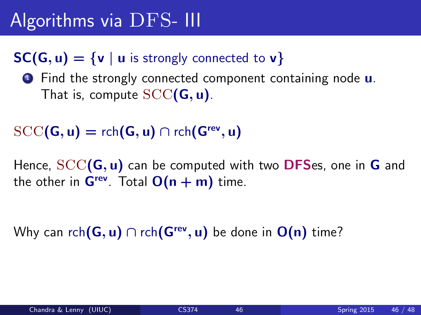#### $SC(G, u) = \{v \mid u \text{ is strongly connected to } v\}$

**1** Find the strongly connected component containing node **u**. That is, compute  $SCC(G, u)$ .

### $\mathrm{SCC}(\mathsf{G},\mathsf{u}) = \mathsf{rch}(\mathsf{G},\mathsf{u}) \cap \mathsf{rch}(\mathsf{G}^\mathsf{rev},\mathsf{u})$

Hence,  $SCC(G, u)$  can be computed with two DFSes, one in G and the other in  $G^{rev}$ . Total  $O(n + m)$  time.

Why can rch $(\mathsf{G},\mathsf{u})\cap$  rch $(\mathsf{G}^{\mathsf{rev}},\mathsf{u})$  be done in  $\mathsf{O}(\mathsf{n})$  time?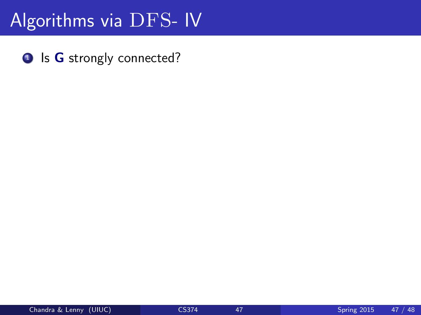**1** Is **G** strongly connected?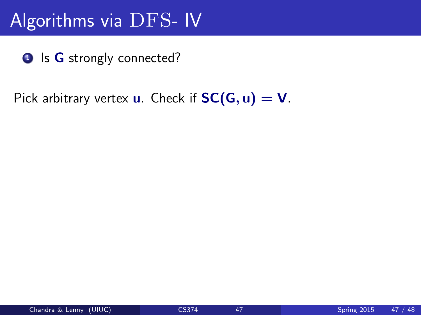<sup>1</sup> Is G strongly connected?

Pick arbitrary vertex **u**. Check if  $SC(G, u) = V$ .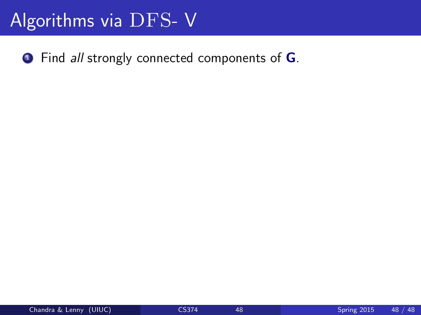$\bullet$  Find *all* strongly connected components of  $\bullet$ .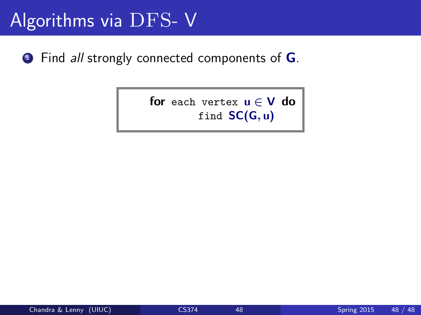**1** Find *all* strongly connected components of **G**.

for each vertex  $u \in V$  do find  $SC(G, u)$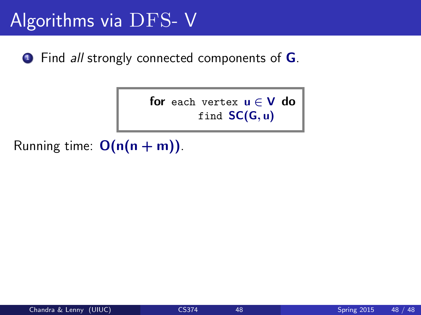**1** Find *all* strongly connected components of **G**.

for each vertex  $u \in V$  do find  $SC(G, u)$ 

Running time:  $O(n(n + m))$ .